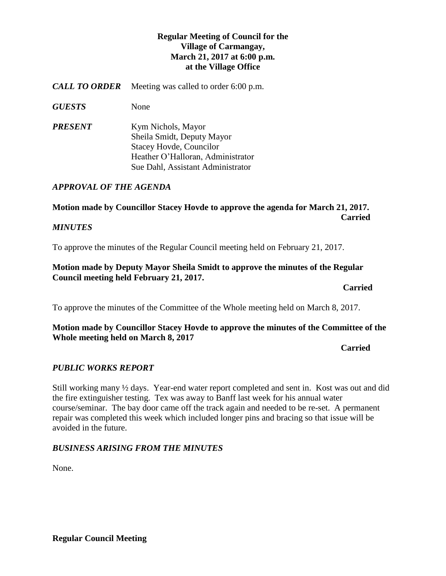# **Regular Meeting of Council for the Village of Carmangay, March 21, 2017 at 6:00 p.m. at the Village Office**

*CALL TO ORDER* Meeting was called to order 6:00 p.m.

*GUESTS* None

*PRESENT* Kym Nichols, Mayor Sheila Smidt, Deputy Mayor Stacey Hovde, Councilor Heather O'Halloran, Administrator Sue Dahl, Assistant Administrator

## *APPROVAL OF THE AGENDA*

# **Motion made by Councillor Stacey Hovde to approve the agenda for March 21, 2017. Carried**

### *MINUTES*

To approve the minutes of the Regular Council meeting held on February 21, 2017.

### **Motion made by Deputy Mayor Sheila Smidt to approve the minutes of the Regular Council meeting held February 21, 2017.**

*Carried* 

To approve the minutes of the Committee of the Whole meeting held on March 8, 2017.

## **Motion made by Councillor Stacey Hovde to approve the minutes of the Committee of the Whole meeting held on March 8, 2017**

**Carried**

# *PUBLIC WORKS REPORT*

Still working many ½ days. Year-end water report completed and sent in. Kost was out and did the fire extinguisher testing. Tex was away to Banff last week for his annual water course/seminar. The bay door came off the track again and needed to be re-set. A permanent repair was completed this week which included longer pins and bracing so that issue will be avoided in the future.

#### *BUSINESS ARISING FROM THE MINUTES*

None.

**Regular Council Meeting**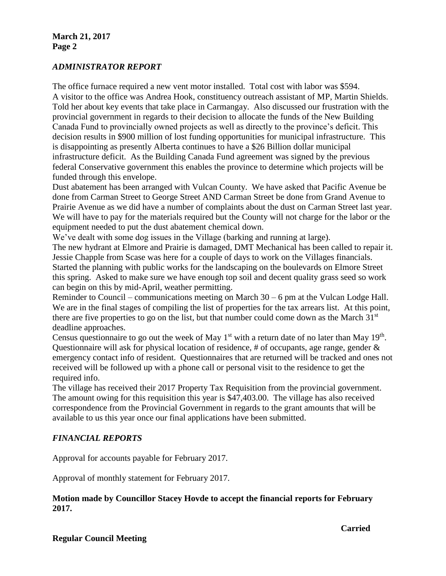## *ADMINISTRATOR REPORT*

The office furnace required a new vent motor installed. Total cost with labor was \$594. A visitor to the office was Andrea Hook, constituency outreach assistant of MP, Martin Shields. Told her about key events that take place in Carmangay. Also discussed our frustration with the provincial government in regards to their decision to allocate the funds of the New Building Canada Fund to provincially owned projects as well as directly to the province's deficit. This decision results in \$900 million of lost funding opportunities for municipal infrastructure. This is disappointing as presently Alberta continues to have a \$26 Billion dollar municipal infrastructure deficit. As the Building Canada Fund agreement was signed by the previous federal Conservative government this enables the province to determine which projects will be funded through this envelope.

Dust abatement has been arranged with Vulcan County. We have asked that Pacific Avenue be done from Carman Street to George Street AND Carman Street be done from Grand Avenue to Prairie Avenue as we did have a number of complaints about the dust on Carman Street last year. We will have to pay for the materials required but the County will not charge for the labor or the equipment needed to put the dust abatement chemical down.

We've dealt with some dog issues in the Village (barking and running at large).

The new hydrant at Elmore and Prairie is damaged, DMT Mechanical has been called to repair it. Jessie Chapple from Scase was here for a couple of days to work on the Villages financials. Started the planning with public works for the landscaping on the boulevards on Elmore Street this spring. Asked to make sure we have enough top soil and decent quality grass seed so work can begin on this by mid-April, weather permitting.

Reminder to Council – communications meeting on March 30 – 6 pm at the Vulcan Lodge Hall. We are in the final stages of compiling the list of properties for the tax arrears list. At this point, there are five properties to go on the list, but that number could come down as the March  $31<sup>st</sup>$ deadline approaches.

Census questionnaire to go out the week of May  $1<sup>st</sup>$  with a return date of no later than May  $19<sup>th</sup>$ . Questionnaire will ask for physical location of residence, # of occupants, age range, gender & emergency contact info of resident. Questionnaires that are returned will be tracked and ones not received will be followed up with a phone call or personal visit to the residence to get the required info.

The village has received their 2017 Property Tax Requisition from the provincial government. The amount owing for this requisition this year is \$47,403.00. The village has also received correspondence from the Provincial Government in regards to the grant amounts that will be available to us this year once our final applications have been submitted.

# *FINANCIAL REPORTS*

Approval for accounts payable for February 2017.

Approval of monthly statement for February 2017.

## **Motion made by Councillor Stacey Hovde to accept the financial reports for February 2017.**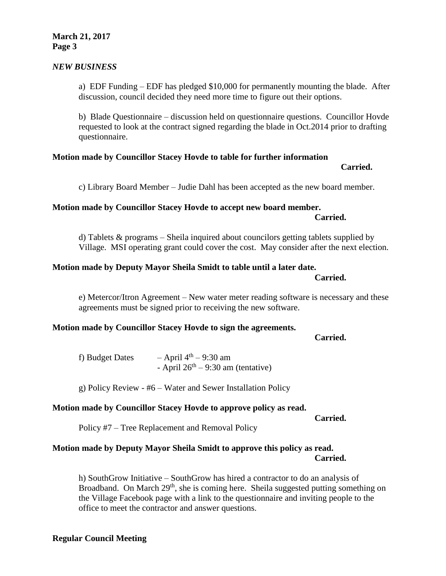#### **March 21, 2017 Page 3**

### *NEW BUSINESS*

a) EDF Funding – EDF has pledged \$10,000 for permanently mounting the blade. After discussion, council decided they need more time to figure out their options.

b) Blade Questionnaire – discussion held on questionnaire questions. Councillor Hovde requested to look at the contract signed regarding the blade in Oct.2014 prior to drafting questionnaire.

#### **Motion made by Councillor Stacey Hovde to table for further information**

**Carried.**

c) Library Board Member – Judie Dahl has been accepted as the new board member.

#### **Motion made by Councillor Stacey Hovde to accept new board member.**

d) Tablets & programs – Sheila inquired about councilors getting tablets supplied by Village. MSI operating grant could cover the cost. May consider after the next election.

#### **Motion made by Deputy Mayor Sheila Smidt to table until a later date.**

e) Metercor/Itron Agreement – New water meter reading software is necessary and these agreements must be signed prior to receiving the new software.

#### **Motion made by Councillor Stacey Hovde to sign the agreements.**

**Carried.**

f) Budget Dates  $-$  April 4<sup>th</sup>  $-$  9:30 am - April  $26<sup>th</sup> - 9:30$  am (tentative)

g) Policy Review - #6 – Water and Sewer Installation Policy

#### **Motion made by Councillor Stacey Hovde to approve policy as read.**

**Carried.**

Policy #7 – Tree Replacement and Removal Policy

#### **Motion made by Deputy Mayor Sheila Smidt to approve this policy as read. Carried.**

h) SouthGrow Initiative – SouthGrow has hired a contractor to do an analysis of Broadband. On March 29<sup>th</sup>, she is coming here. Sheila suggested putting something on the Village Facebook page with a link to the questionnaire and inviting people to the office to meet the contractor and answer questions.

# **Carried.**

**Carried.**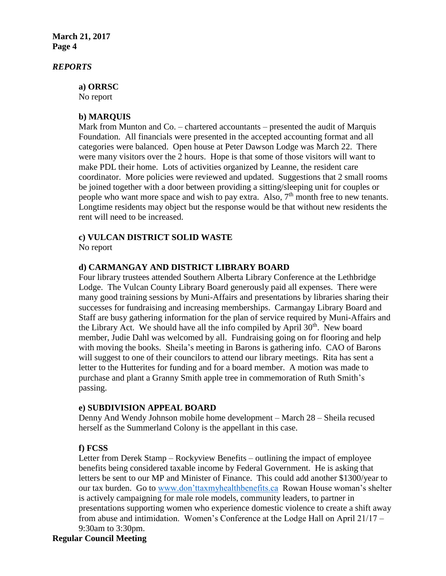**March 21, 2017 Page 4**

#### *REPORTS*

**a) ORRSC** No report

#### **b) MARQUIS**

Mark from Munton and Co. – chartered accountants – presented the audit of Marquis Foundation. All financials were presented in the accepted accounting format and all categories were balanced. Open house at Peter Dawson Lodge was March 22. There were many visitors over the 2 hours. Hope is that some of those visitors will want to make PDL their home. Lots of activities organized by Leanne, the resident care coordinator. More policies were reviewed and updated. Suggestions that 2 small rooms be joined together with a door between providing a sitting/sleeping unit for couples or people who want more space and wish to pay extra. Also,  $7<sup>th</sup>$  month free to new tenants. Longtime residents may object but the response would be that without new residents the rent will need to be increased.

#### **c) VULCAN DISTRICT SOLID WASTE**

No report

#### **d) CARMANGAY AND DISTRICT LIBRARY BOARD**

Four library trustees attended Southern Alberta Library Conference at the Lethbridge Lodge. The Vulcan County Library Board generously paid all expenses. There were many good training sessions by Muni-Affairs and presentations by libraries sharing their successes for fundraising and increasing memberships. Carmangay Library Board and Staff are busy gathering information for the plan of service required by Muni-Affairs and the Library Act. We should have all the info compiled by April  $30<sup>th</sup>$ . New board member, Judie Dahl was welcomed by all. Fundraising going on for flooring and help with moving the books. Sheila's meeting in Barons is gathering info. CAO of Barons will suggest to one of their councilors to attend our library meetings. Rita has sent a letter to the Hutterites for funding and for a board member. A motion was made to purchase and plant a Granny Smith apple tree in commemoration of Ruth Smith's passing.

#### **e) SUBDIVISION APPEAL BOARD**

Denny And Wendy Johnson mobile home development – March 28 – Sheila recused herself as the Summerland Colony is the appellant in this case.

#### **f) FCSS**

Letter from Derek Stamp – Rockyview Benefits – outlining the impact of employee benefits being considered taxable income by Federal Government. He is asking that letters be sent to our MP and Minister of Finance. This could add another \$1300/year to our tax burden. Go to [www.don'ttaxmyhealthbenefits.ca](http://www.don) Rowan House woman's shelter is actively campaigning for male role models, community leaders, to partner in presentations supporting women who experience domestic violence to create a shift away from abuse and intimidation. Women's Conference at the Lodge Hall on April 21/17 – 9:30am to 3:30pm.

#### **Regular Council Meeting**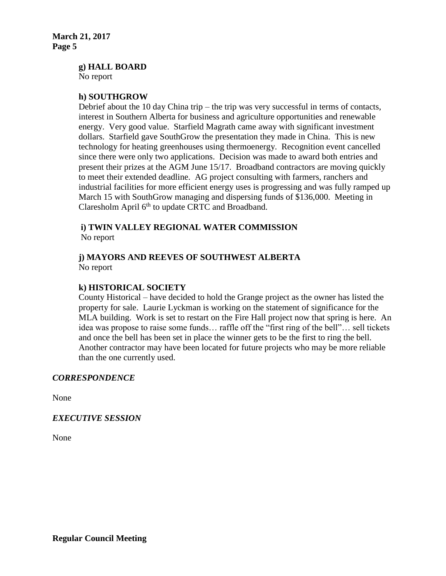**g) HALL BOARD**

No report

#### **h) SOUTHGROW**

Debrief about the 10 day China trip – the trip was very successful in terms of contacts, interest in Southern Alberta for business and agriculture opportunities and renewable energy. Very good value. Starfield Magrath came away with significant investment dollars. Starfield gave SouthGrow the presentation they made in China. This is new technology for heating greenhouses using thermoenergy. Recognition event cancelled since there were only two applications. Decision was made to award both entries and present their prizes at the AGM June 15/17. Broadband contractors are moving quickly to meet their extended deadline. AG project consulting with farmers, ranchers and industrial facilities for more efficient energy uses is progressing and was fully ramped up March 15 with SouthGrow managing and dispersing funds of \$136,000. Meeting in Claresholm April 6<sup>th</sup> to update CRTC and Broadband.

### **i) TWIN VALLEY REGIONAL WATER COMMISSION** No report

### **j) MAYORS AND REEVES OF SOUTHWEST ALBERTA** No report

## **k) HISTORICAL SOCIETY**

County Historical – have decided to hold the Grange project as the owner has listed the property for sale. Laurie Lyckman is working on the statement of significance for the MLA building. Work is set to restart on the Fire Hall project now that spring is here. An idea was propose to raise some funds… raffle off the "first ring of the bell"… sell tickets and once the bell has been set in place the winner gets to be the first to ring the bell. Another contractor may have been located for future projects who may be more reliable than the one currently used.

#### *CORRESPONDENCE*

None

#### *EXECUTIVE SESSION*

None